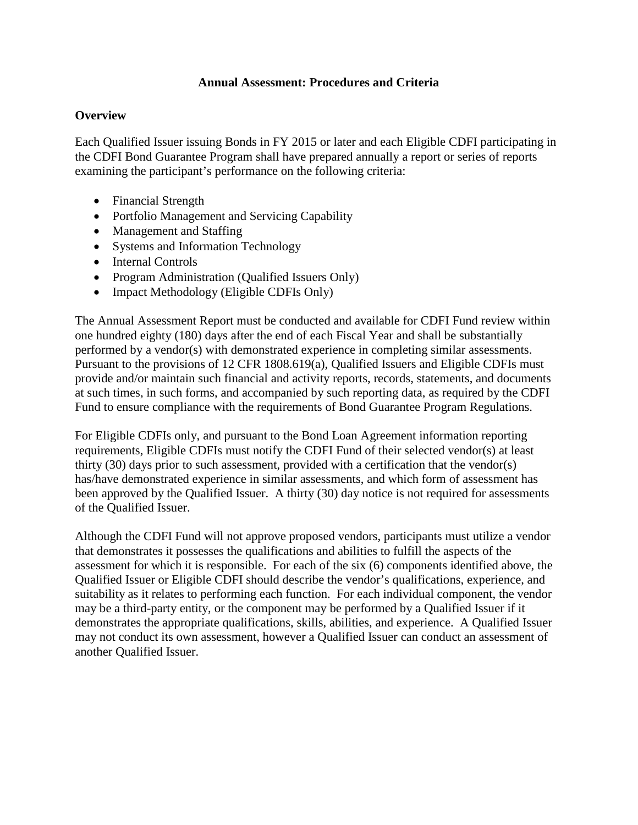#### **Annual Assessment: Procedures and Criteria**

#### **Overview**

Each Qualified Issuer issuing Bonds in FY 2015 or later and each Eligible CDFI participating in the CDFI Bond Guarantee Program shall have prepared annually a report or series of reports examining the participant's performance on the following criteria:

- Financial Strength
- Portfolio Management and Servicing Capability
- Management and Staffing
- Systems and Information Technology
- Internal Controls
- Program Administration (Qualified Issuers Only)
- Impact Methodology (Eligible CDFIs Only)

The Annual Assessment Report must be conducted and available for CDFI Fund review within one hundred eighty (180) days after the end of each Fiscal Year and shall be substantially performed by a vendor(s) with demonstrated experience in completing similar assessments. Pursuant to the provisions of 12 CFR 1808.619(a), Qualified Issuers and Eligible CDFIs must provide and/or maintain such financial and activity reports, records, statements, and documents at such times, in such forms, and accompanied by such reporting data, as required by the CDFI Fund to ensure compliance with the requirements of Bond Guarantee Program Regulations.

For Eligible CDFIs only, and pursuant to the Bond Loan Agreement information reporting requirements, Eligible CDFIs must notify the CDFI Fund of their selected vendor(s) at least thirty (30) days prior to such assessment, provided with a certification that the vendor(s) has/have demonstrated experience in similar assessments, and which form of assessment has been approved by the Qualified Issuer. A thirty (30) day notice is not required for assessments of the Qualified Issuer.

Although the CDFI Fund will not approve proposed vendors, participants must utilize a vendor that demonstrates it possesses the qualifications and abilities to fulfill the aspects of the assessment for which it is responsible. For each of the six (6) components identified above, the Qualified Issuer or Eligible CDFI should describe the vendor's qualifications, experience, and suitability as it relates to performing each function. For each individual component, the vendor may be a third-party entity, or the component may be performed by a Qualified Issuer if it demonstrates the appropriate qualifications, skills, abilities, and experience. A Qualified Issuer may not conduct its own assessment, however a Qualified Issuer can conduct an assessment of another Qualified Issuer.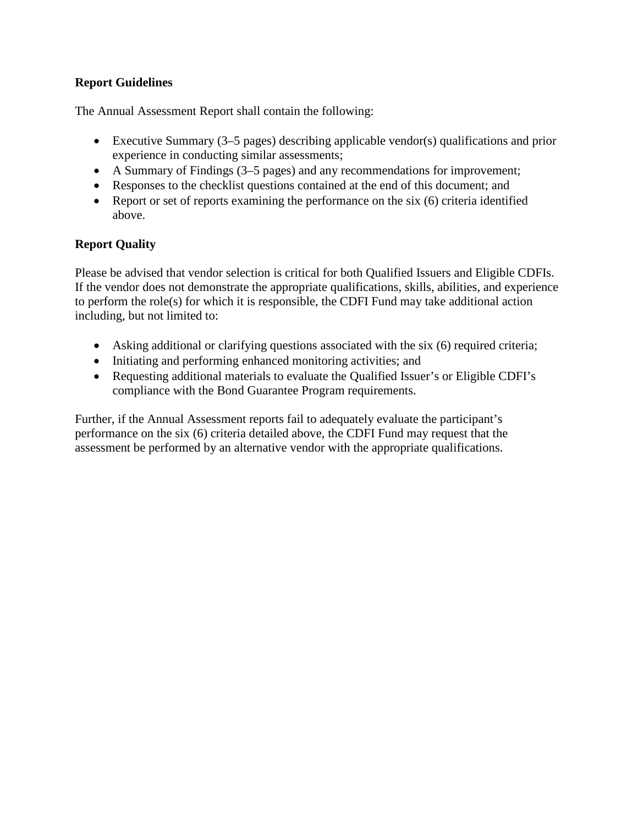#### **Report Guidelines**

The Annual Assessment Report shall contain the following:

- Executive Summary (3–5 pages) describing applicable vendor(s) qualifications and prior experience in conducting similar assessments;
- A Summary of Findings (3–5 pages) and any recommendations for improvement;
- Responses to the checklist questions contained at the end of this document; and
- Report or set of reports examining the performance on the six (6) criteria identified above.

## **Report Quality**

Please be advised that vendor selection is critical for both Qualified Issuers and Eligible CDFIs. If the vendor does not demonstrate the appropriate qualifications, skills, abilities, and experience to perform the role(s) for which it is responsible, the CDFI Fund may take additional action including, but not limited to:

- Asking additional or clarifying questions associated with the six (6) required criteria;
- Initiating and performing enhanced monitoring activities; and
- Requesting additional materials to evaluate the Qualified Issuer's or Eligible CDFI's compliance with the Bond Guarantee Program requirements.

Further, if the Annual Assessment reports fail to adequately evaluate the participant's performance on the six (6) criteria detailed above, the CDFI Fund may request that the assessment be performed by an alternative vendor with the appropriate qualifications.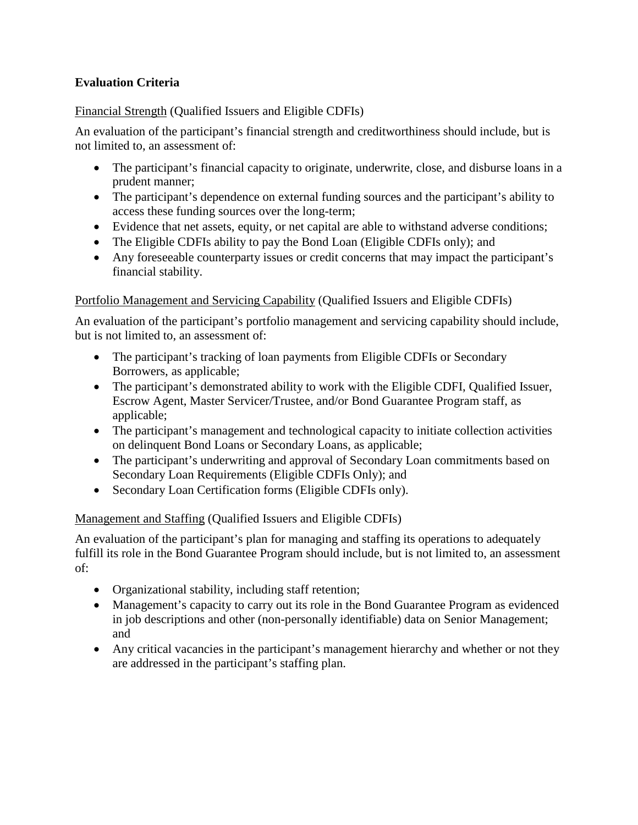## **Evaluation Criteria**

#### Financial Strength (Qualified Issuers and Eligible CDFIs)

An evaluation of the participant's financial strength and creditworthiness should include, but is not limited to, an assessment of:

- The participant's financial capacity to originate, underwrite, close, and disburse loans in a prudent manner;
- The participant's dependence on external funding sources and the participant's ability to access these funding sources over the long-term;
- Evidence that net assets, equity, or net capital are able to withstand adverse conditions;
- The Eligible CDFIs ability to pay the Bond Loan (Eligible CDFIs only); and
- Any foreseeable counterparty issues or credit concerns that may impact the participant's financial stability.

#### Portfolio Management and Servicing Capability (Qualified Issuers and Eligible CDFIs)

An evaluation of the participant's portfolio management and servicing capability should include, but is not limited to, an assessment of:

- The participant's tracking of loan payments from Eligible CDFIs or Secondary Borrowers, as applicable;
- The participant's demonstrated ability to work with the Eligible CDFI, Qualified Issuer, Escrow Agent, Master Servicer/Trustee, and/or Bond Guarantee Program staff, as applicable;
- The participant's management and technological capacity to initiate collection activities on delinquent Bond Loans or Secondary Loans, as applicable;
- The participant's underwriting and approval of Secondary Loan commitments based on Secondary Loan Requirements (Eligible CDFIs Only); and
- Secondary Loan Certification forms (Eligible CDFIs only).

#### Management and Staffing (Qualified Issuers and Eligible CDFIs)

An evaluation of the participant's plan for managing and staffing its operations to adequately fulfill its role in the Bond Guarantee Program should include, but is not limited to, an assessment of:

- Organizational stability, including staff retention;
- Management's capacity to carry out its role in the Bond Guarantee Program as evidenced in job descriptions and other (non-personally identifiable) data on Senior Management; and
- Any critical vacancies in the participant's management hierarchy and whether or not they are addressed in the participant's staffing plan.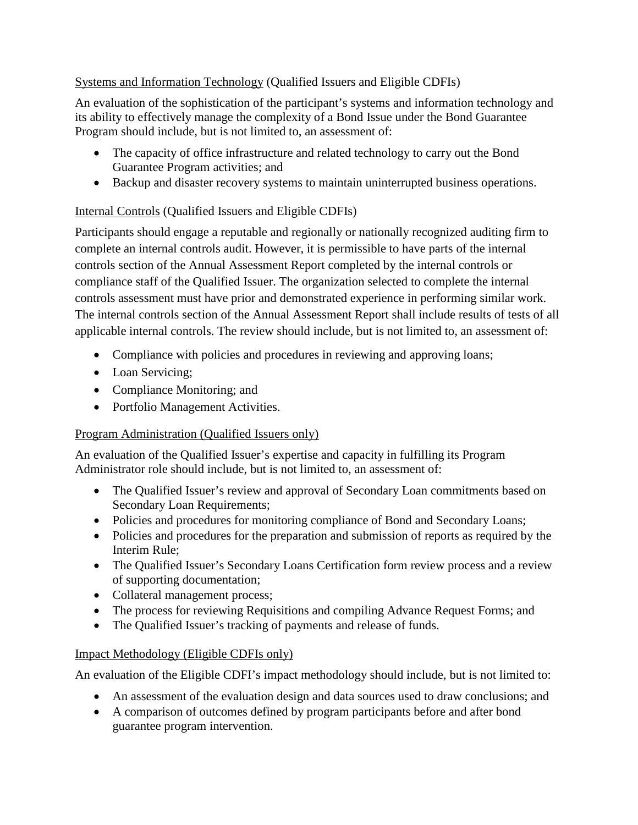## Systems and Information Technology (Qualified Issuers and Eligible CDFIs)

An evaluation of the sophistication of the participant's systems and information technology and its ability to effectively manage the complexity of a Bond Issue under the Bond Guarantee Program should include, but is not limited to, an assessment of:

- The capacity of office infrastructure and related technology to carry out the Bond Guarantee Program activities; and
- Backup and disaster recovery systems to maintain uninterrupted business operations.

# Internal Controls (Qualified Issuers and Eligible CDFIs)

Participants should engage a reputable and regionally or nationally recognized auditing firm to complete an internal controls audit. However, it is permissible to have parts of the internal controls section of the Annual Assessment Report completed by the internal controls or compliance staff of the Qualified Issuer. The organization selected to complete the internal controls assessment must have prior and demonstrated experience in performing similar work. The internal controls section of the Annual Assessment Report shall include results of tests of all applicable internal controls. The review should include, but is not limited to, an assessment of:

- Compliance with policies and procedures in reviewing and approving loans;
- Loan Servicing;
- Compliance Monitoring; and
- Portfolio Management Activities.

# Program Administration (Qualified Issuers only)

An evaluation of the Qualified Issuer's expertise and capacity in fulfilling its Program Administrator role should include, but is not limited to, an assessment of:

- The Qualified Issuer's review and approval of Secondary Loan commitments based on Secondary Loan Requirements;
- Policies and procedures for monitoring compliance of Bond and Secondary Loans;
- Policies and procedures for the preparation and submission of reports as required by the Interim Rule;
- The Qualified Issuer's Secondary Loans Certification form review process and a review of supporting documentation;
- Collateral management process;
- The process for reviewing Requisitions and compiling Advance Request Forms; and
- The Qualified Issuer's tracking of payments and release of funds.

# Impact Methodology (Eligible CDFIs only)

An evaluation of the Eligible CDFI's impact methodology should include, but is not limited to:

- An assessment of the evaluation design and data sources used to draw conclusions; and
- A comparison of outcomes defined by program participants before and after bond guarantee program intervention.